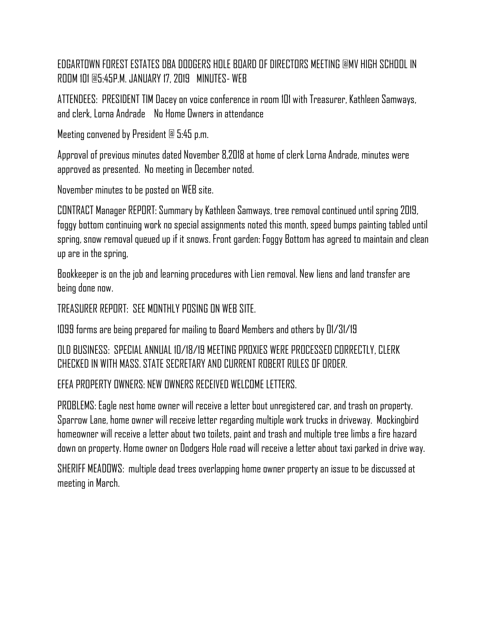EDGARTOWN FOREST ESTATES DBA DODGERS HOLE BOARD OF DIRECTORS MEETING @MV HIGH SCHOOL IN ROOM 101 @5:45P.M. JANUARY 17, 2019 MINUTES- WEB

ATTENDEES: PRESIDENT TIM Dacey on voice conference in room 101 with Treasurer, Kathleen Samways, and clerk, Lorna Andrade No Home Owners in attendance

Meeting convened by President @ 5:45 p.m.

Approval of previous minutes dated November 8,2018 at home of clerk Lorna Andrade, minutes were approved as presented. No meeting in December noted.

November minutes to be posted on WEB site.

CONTRACT Manager REPORT: Summary by Kathleen Samways, tree removal continued until spring 2019, foggy bottom continuing work no special assignments noted this month, speed bumps painting tabled until spring, snow removal queued up if it snows. Front garden: Foggy Bottom has agreed to maintain and clean up are in the spring,

Bookkeeper is on the job and learning procedures with Lien removal. New liens and land transfer are being done now.

TREASURER REPORT: SEE MONTHLY POSING ON WEB SITE.

1099 forms are being prepared for mailing to Board Members and others by 01/31/19

OLD BUSINESS: SPECIAL ANNUAL 10/18/19 MEETING PROXIES WERE PROCESSED CORRECTLY, CLERK CHECKED IN WITH MASS. STATE SECRETARY AND CURRENT ROBERT RULES OF ORDER.

EFEA PROPERTY OWNERS: NEW OWNERS RECEIVED WELCOME LETTERS.

PROBLEMS: Eagle nest home owner will receive a letter bout unregistered car, and trash on property. Sparrow Lane, home owner will receive letter regarding multiple work trucks in driveway. Mockingbird homeowner will receive a letter about two toilets, paint and trash and multiple tree limbs a fire hazard down on property. Home owner on Dodgers Hole road will receive a letter about taxi parked in drive way.

SHERIFF MEADOWS: multiple dead trees overlapping home owner property an issue to be discussed at meeting in March.